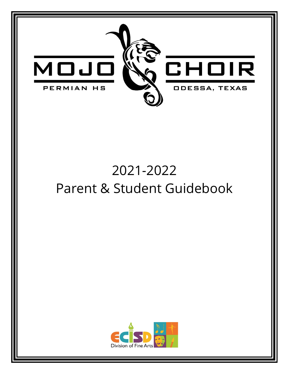

# 2021-2022 Parent & Student Guidebook

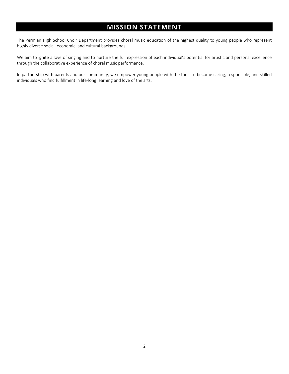# **MISSION STATEMENT**

<span id="page-1-0"></span>The Permian High School Choir Department provides choral music education of the highest quality to young people who represent highly diverse social, economic, and cultural backgrounds.

We aim to ignite a love of singing and to nurture the full expression of each individual's potential for artistic and personal excellence through the collaborative experience of choral music performance.

In partnership with parents and our community, we empower young people with the tools to become caring, responsible, and skilled individuals who find fulfillment in life-long learning and love of the arts.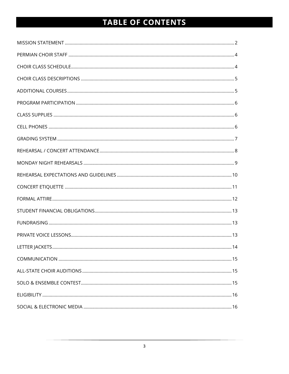# TABLE OF CONTENTS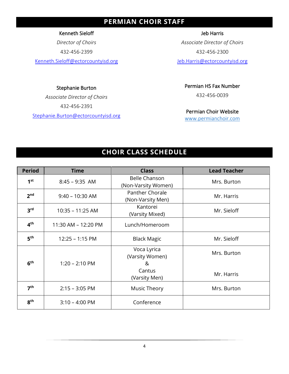# **PERMIAN CHOIR STAFF**

<span id="page-3-0"></span>Kenneth Sieloff

*Director of Choirs*

432-456-2399

Kenneth.Sieloff@ectorcountyisd.org

#### Stephanie Burton

*Associate Director of Choirs* 432-456-2391

Stephanie.Burton@ectorcountyisd.org

Jeb Harris

*Associate Director of Choirs* 432-456-2300

Jeb.Harris@ectorcountyisd.org

Permian HS Fax Number

432-456-0039

Permian Choir Website

[www.permianchoir.com](http://www.permianchoir.com/)

# **CHOIR CLASS SCHEDULE**

<span id="page-3-1"></span>

| <b>Period</b>   | <b>Time</b>              | <b>Class</b>                                | <b>Lead Teacher</b> |
|-----------------|--------------------------|---------------------------------------------|---------------------|
| 1 <sup>st</sup> | $8:45 - 9:35$ AM         | <b>Belle Chanson</b><br>(Non-Varsity Women) | Mrs. Burton         |
| 2 <sub>nd</sub> | $9:40 - 10:30$ AM        | Panther Chorale<br>(Non-Varsity Men)        | Mr. Harris          |
| 3 <sup>rd</sup> | $10:35 - 11:25$ AM       | Kantorei<br>(Varsity Mixed)                 | Mr. Sieloff         |
| 4 <sup>th</sup> | 11:30 AM - 12:20 PM      | Lunch/Homeroom                              |                     |
| 5 <sup>th</sup> | $12:25 - 1:15$ PM        | <b>Black Magic</b>                          | Mr. Sieloff         |
| 6 <sup>th</sup> | $1:20 - 2:10 \text{ PM}$ | Voca Lyrica<br>(Varsity Women)<br>୍ୟ        | Mrs. Burton         |
|                 |                          | Cantus<br>(Varsity Men)                     | Mr. Harris          |
| 7 <sup>th</sup> | $2:15 - 3:05$ PM         | Music Theory                                | Mrs. Burton         |
| 8 <sup>th</sup> | $3:10 - 4:00$ PM         | Conference                                  |                     |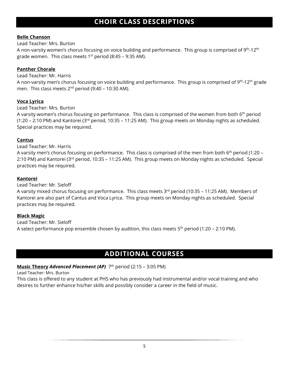# **CHOIR CLASS DESCRIPTIONS**

#### <span id="page-4-0"></span>**Belle Chanson**

Lead Teacher: Mrs. Burton

A non-varsity women's chorus focusing on voice building and performance. This group is comprised of 9th-12th grade women. This class meets  $1<sup>st</sup>$  period (8:45 – 9:35 AM).

#### **Panther Chorale**

Lead Teacher: Mr. Harris

A non-varsity men's chorus focusing on voice building and performance. This group is comprised of  $9<sup>th</sup>$ -12<sup>th</sup> grade men. This class meets  $2^{nd}$  period (9:40 – 10:30 AM).

#### **Voca Lyrica**

Lead Teacher: Mrs. Burton

A varsity women's chorus focusing on performance. This class is comprised of the women from both 6<sup>th</sup> period (1:20 – 2:10 PM) and Kantorei (3rd period, 10:35 – 11:25 AM). This group meets on Monday nights as scheduled. Special practices may be required.

#### **Cantus**

Lead Teacher: Mr. Harris

A varsity men's chorus focusing on performance. This class is comprised of the men from both 6th period (1:20 – 2:10 PM) and Kantorei (3rd period, 10:35 – 11:25 AM). This group meets on Monday nights as scheduled. Special practices may be required.

#### **Kantorei**

Lead Teacher: Mr. Sieloff

A varsity mixed chorus focusing on performance. This class meets  $3^{rd}$  period (10:35 – 11:25 AM). Members of Kantorei are also part of Cantus and Voca Lyrica. This group meets on Monday nights as scheduled. Special practices may be required.

#### **Black Magic**

Lead Teacher: Mr. Sieloff A select performance pop ensemble chosen by audition, this class meets 5<sup>th</sup> period (1:20 – 2:10 PM).

### **ADDITIONAL COURSES**

#### <span id="page-4-1"></span>**Music Theory Advanced Placement (AP)**  $7<sup>th</sup>$  period (2:15 – 3:05 PM)

Lead Teacher: Mrs. Burton

This class is offered to any student at PHS who has previously had instrumental and/or vocal training and who desires to further enhance his/her skills and possibly consider a career in the field of music.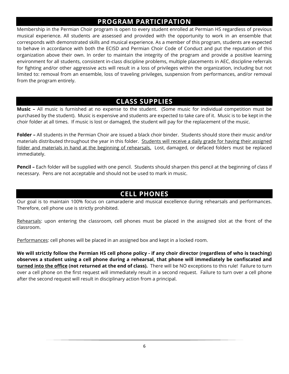# **PROGRAM PARTICIPATION**

<span id="page-5-0"></span>Membership in the Permian Choir program is open to every student enrolled at Permian HS regardless of previous musical experience. All students are assessed and provided with the opportunity to work in an ensemble that corresponds with demonstrated skills and musical experience. As a member of this program, students are expected to behave in accordance with both the ECISD and Permian Choir Code of Conduct and put the reputation of this organization above their own. In order to maintain the integrity of the program and provide a positive learning environment for all students, consistent in-class discipline problems, multiple placements in AEC, discipline referrals for fighting and/or other aggressive acts will result in a loss of privileges within the organization, including but not limited to: removal from an ensemble, loss of traveling privileges, suspension from performances, and/or removal from the program entirely.

# **CLASS SUPPLIES**

<span id="page-5-1"></span>**Music –** All music is furnished at no expense to the student. (Some music for individual competition must be purchased by the student). Music is expensive and students are expected to take care of it. Music is to be kept in the choir folder at all times. If music is lost or damaged, the student will pay for the replacement of the music.

**Folder –** All students in the Permian Choir are issued a black choir binder. Students should store their music and/or materials distributed throughout the year in this folder. Students will receive a daily grade for having their assigned folder and materials in hand at the beginning of rehearsals. Lost, damaged, or defaced folders must be replaced immediately.

**Pencil –** Each folder will be supplied with one pencil. Students should sharpen this pencil at the beginning of class if necessary. Pens are not acceptable and should not be used to mark in music.

## **CELL PHONES**

<span id="page-5-2"></span>Our goal is to maintain 100% focus on camaraderie and musical excellence during rehearsals and performances. Therefore, cell phone use is strictly prohibited.

Rehearsals: upon entering the classroom, cell phones must be placed in the assigned slot at the front of the classroom.

Performances: cell phones will be placed in an assigned box and kept in a locked room.

**We will strictly follow the Permian HS cell phone policy - if any choir director (regardless of who is teaching) observes a student using a cell phone during a rehearsal, that phone will immediately be confiscated and turned into the office (not returned at the end of class).** There will be NO exceptions to this rule! Failure to turn over a cell phone on the first request will immediately result in a second request. Failure to turn over a cell phone after the second request will result in disciplinary action from a principal.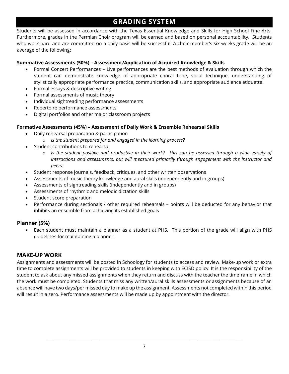# **GRADING SYSTEM**

<span id="page-6-0"></span>Students will be assessed in accordance with the Texas Essential Knowledge and Skills for High School Fine Arts. Furthermore, grades in the Permian Choir program will be earned and based on personal accountability. Students who work hard and are committed on a daily basis will be successful! A choir member's six weeks grade will be an average of the following:

#### **Summative Assessments (50%) – Assessment/Application of Acquired Knowledge & Skills**

- Formal Concert Performances Live performances are the best methods of evaluation through which the student can demonstrate knowledge of appropriate choral tone, vocal technique, understanding of stylistically appropriate performance practice, communication skills, and appropriate audience etiquette.
- Formal essays & descriptive writing
- Formal assessments of music theory
- Individual sightreading performance assessments
- Repertoire performance assessments
- Digital portfolios and other major classroom projects

#### **Formative Assessments (45%) – Assessment of Daily Work & Ensemble Rehearsal Skills**

- Daily rehearsal preparation & participation
	- o *Is the student prepared for and engaged in the learning process?*
- Student contributions to rehearsal
	- o *Is the student positive and productive in their work? This can be assessed through a wide variety of interactions and assessments, but will measured primarily through engagement with the instructor and peers.*
- Student response journals, feedback, critiques, and other written observations
- Assessments of music theory knowledge and aural skills (independently and in groups)
- Assessments of sightreading skills (independently and in groups)
- Assessments of rhythmic and melodic dictation skills
- Student score preparation
- Performance during sectionals / other required rehearsals points will be deducted for any behavior that inhibits an ensemble from achieving its established goals

#### **Planner (5%)**

• Each student must maintain a planner as a student at PHS. This portion of the grade will align with PHS guidelines for maintaining a planner.

#### **MAKE-UP WORK**

Assignments and assessments will be posted in Schoology for students to access and review. Make-up work or extra time to complete assignments will be provided to students in keeping with ECISD policy. It is the responsibility of the student to ask about any missed assignments when they return and discuss with the teacher the timeframe in which the work must be completed. Students that miss any written/aural skills assessments or assignments because of an absence will have two days/per missed day to make up the assignment. Assessments not completed within this period will result in a zero. Performance assessments will be made up by appointment with the director.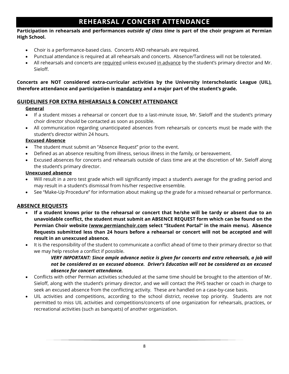# **REHEARSAL / CONCERT ATTENDANCE**

#### <span id="page-7-0"></span>**Participation in rehearsals and performances** *outside of class time* **is part of the choir program at Permian High School.**

- Choir is a performance-based class. Concerts AND rehearsals are required.
- Punctual attendance is required at all rehearsals and concerts. Absence/Tardiness will not be tolerated.
- All rehearsals and concerts are required unless excused in advance by the student's primary director and Mr. Sieloff.

**Concerts are NOT considered extra-curricular activities by the University Interscholastic League (UIL), therefore attendance and participation is mandatory and a major part of the student's grade.** 

#### **GUIDELINES FOR EXTRA REHEARSALS & CONCERT ATTENDANCE**

#### **General**

- If a student misses a rehearsal or concert due to a last-minute issue, Mr. Sieloff and the student's primary choir director should be contacted as soon as possible.
- All communication regarding unanticipated absences from rehearsals or concerts must be made with the student's director within 24 hours.

#### **Excused Absence**

- The student must submit an "Absence Request" prior to the event.
- Defined as an absence resulting from illness, serious illness in the family, or bereavement.
- Excused absences for concerts and rehearsals outside of class time are at the discretion of Mr. Sieloff along the student's primary director.

#### **Unexcused absence**

- Will result in a zero test grade which will significantly impact a student's average for the grading period and may result in a student's dismissal from his/her respective ensemble.
- See "Make-Up Procedure" for information about making up the grade for a missed rehearsal or performance.

#### **ABSENCE REQUESTS**

- **If a student knows prior to the rehearsal or concert that he/she will be tardy or absent due to an unavoidable conflict, the student must submit an ABSENCE REQUEST form which can be found on the Permian Choir website [\(www.permianchoir.com](http://www.permianchoir.com/) select "Student Portal" in the main menu). Absence Requests submitted less than 24 hours before a rehearsal or concert will not be accepted and will result in an unexcused absence.**
- It is the responsibility of the student to communicate a conflict ahead of time to their primary director so that we may help resolve a conflict if possible.

#### *VERY IMPORTANT: Since ample advance notice is given for concerts and extra rehearsals, a job will not be considered as an excused absence. Driver's Education will not be considered as an excused absence for concert attendance.*

- Conflicts with other Permian activities scheduled at the same time should be brought to the attention of Mr. Sieloff, along with the student's primary director, and we will contact the PHS teacher or coach in charge to seek an excused absence from the conflicting activity. These are handled on a case-by-case basis.
- UIL activities and competitions, according to the school district, receive top priority. Students are not permitted to miss UIL activities and competitions/concerts of one organization for rehearsals, practices, or recreational activities (such as banquets) of another organization.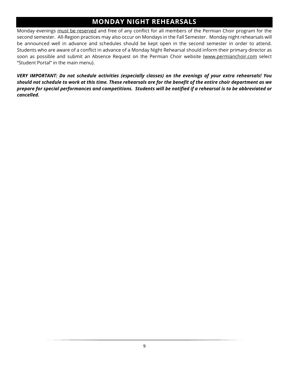# **MONDAY NIGHT REHEARSALS**

<span id="page-8-0"></span>Monday evenings must be reserved and free of any conflict for all members of the Permian Choir program for the second semester. All-Region practices may also occur on Mondays in the Fall Semester. Monday night rehearsals will be announced well in advance and schedules should be kept open in the second semester in order to attend. Students who are aware of a conflict in advance of a Monday Night Rehearsal should inform their primary director as soon as possible and submit an Absence Request on the Permian Choir website [\(www.permianchoir.com](http://www.permianchoir.com/) select "Student Portal" in the main menu).

*VERY IMPORTANT: Do not schedule activities (especially classes) on the evenings of your extra rehearsals! You should not schedule to work at this time. These rehearsals are for the benefit of the entire choir department as we prepare for special performances and competitions. Students will be notified if a rehearsal is to be abbreviated or cancelled.*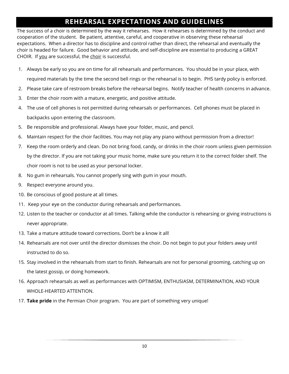# **REHEARSAL EXPECTATIONS AND GUIDELINES**

<span id="page-9-0"></span>The success of a choir is determined by the way it rehearses. How it rehearses is determined by the conduct and cooperation of the student. Be patient, attentive, careful, and cooperative in observing these rehearsal expectations. When a director has to discipline and control rather than direct, the rehearsal and eventually the choir is headed for failure. Good behavior and attitude, and self-discipline are essential to producing a GREAT CHOIR. If you are successful, the choir is successful.

- 1. Always be early so you are on time for all rehearsals and performances. You should be in your place, with required materials by the time the second bell rings or the rehearsal is to begin. PHS tardy policy is enforced.
- 2. Please take care of restroom breaks before the rehearsal begins. Notify teacher of health concerns in advance.
- 3. Enter the choir room with a mature, energetic, and positive attitude.
- 4. The use of cell phones is not permitted during rehearsals or performances. Cell phones must be placed in backpacks upon entering the classroom.
- 5. Be responsible and professional. Always have your folder, music, and pencil.
- 6. Maintain respect for the choir facilities. You may not play any piano without permission from a director!
- 7. Keep the room orderly and clean. Do not bring food, candy, or drinks in the choir room unless given permission by the director. If you are not taking your music home, make sure you return it to the correct folder shelf. The choir room is not to be used as your personal locker.
- 8. No gum in rehearsals. You cannot properly sing with gum in your mouth.
- 9. Respect everyone around you.
- 10. Be conscious of good posture at all times.
- 11. Keep your eye on the conductor during rehearsals and performances.
- 12. Listen to the teacher or conductor at all times. Talking while the conductor is rehearsing or giving instructions is never appropriate.
- 13. Take a mature attitude toward corrections. Don't be a know it all!
- 14. Rehearsals are not over until the director dismisses the choir. Do not begin to put your folders away until instructed to do so.
- 15. Stay involved in the rehearsals from start to finish. Rehearsals are not for personal grooming, catching up on the latest gossip, or doing homework.
- 16. Approach rehearsals as well as performances with OPTIMISM, ENTHUSIASM, DETERMINATION, AND YOUR WHOLE-HEARTED ATTENTION.
- 17. **Take pride** in the Permian Choir program. You are part of something very unique!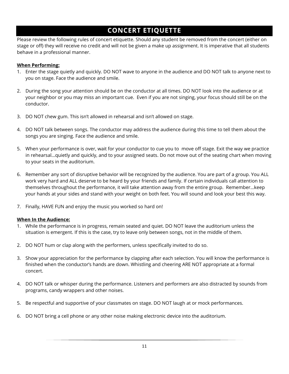# **CONCERT ETIQUETTE**

<span id="page-10-0"></span>Please review the following rules of concert etiquette. Should any student be removed from the concert (either on stage or off) they will receive no credit and will not be given a make up assignment. It is imperative that all students behave in a professional manner.

#### **When Performing:**

- 1. Enter the stage quietly and quickly. DO NOT wave to anyone in the audience and DO NOT talk to anyone next to you on stage. Face the audience and smile.
- 2. During the song your attention should be on the conductor at all times. DO NOT look into the audience or at your neighbor or you may miss an important cue. Even if you are not singing, your focus should still be on the conductor.
- 3. DO NOT chew gum. This isn't allowed in rehearsal and isn't allowed on stage.
- 4. DO NOT talk between songs. The conductor may address the audience during this time to tell them about the songs you are singing. Face the audience and smile.
- 5. When your performance is over, wait for your conductor to cue you to move off stage. Exit the way we practice in rehearsal…quietly and quickly, and to your assigned seats. Do not move out of the seating chart when moving to your seats in the auditorium.
- 6. Remember any sort of disruptive behavior will be recognized by the audience. You are part of a group. You ALL work very hard and ALL deserve to be heard by your friends and family. If certain individuals call attention to themselves throughout the performance, it will take attention away from the entire group. Remember…keep your hands at your sides and stand with your weight on both feet. You will sound and look your best this way.
- 7. Finally, HAVE FUN and enjoy the music you worked so hard on!

#### **When In the Audience:**

- 1. While the performance is in progress, remain seated and quiet. DO NOT leave the auditorium unless the situation is emergent. If this is the case, try to leave only between songs, not in the middle of them.
- 2. DO NOT hum or clap along with the performers, unless specifically invited to do so.
- 3. Show your appreciation for the performance by clapping after each selection. You will know the performance is finished when the conductor's hands are down. Whistling and cheering ARE NOT appropriate at a formal concert.
- 4. DO NOT talk or whisper during the performance. Listeners and performers are also distracted by sounds from programs, candy wrappers and other noises.
- 5. Be respectful and supportive of your classmates on stage. DO NOT laugh at or mock performances.
- 6. DO NOT bring a cell phone or any other noise making electronic device into the auditorium.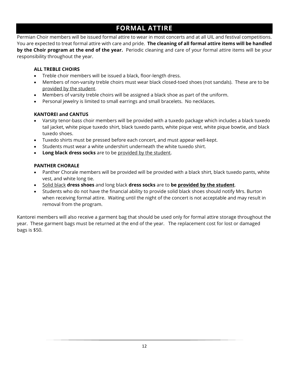# **FORMAL ATTIRE**

<span id="page-11-0"></span>Permian Choir members will be issued formal attire to wear in most concerts and at all UIL and festival competitions. You are expected to treat formal attire with care and pride. **The cleaning of all formal attire items will be handled by the Choir program at the end of the year.** Periodic cleaning and care of your formal attire items will be your responsibility throughout the year.

#### **ALL TREBLE CHOIRS**

- Treble choir members will be issued a black, floor-length dress.
- Members of non-varsity treble choirs must wear black closed-toed shoes (not sandals). These are to be provided by the student.
- Members of varsity treble choirs will be assigned a black shoe as part of the uniform.
- Personal jewelry is limited to small earrings and small bracelets. No necklaces.

#### **KANTOREI and CANTUS**

- Varsity tenor-bass choir members will be provided with a tuxedo package which includes a black tuxedo tail jacket, white pique tuxedo shirt, black tuxedo pants, white pique vest, white pique bowtie, and black tuxedo shoes.
- Tuxedo shirts must be pressed before each concert, and must appear well-kept.
- Students must wear a white undershirt underneath the white tuxedo shirt.
- **Long black dress socks** are to be provided by the student.

#### **PANTHER CHORALE**

- Panther Chorale members will be provided will be provided with a black shirt, black tuxedo pants, white vest, and white long tie.
- Solid black **dress shoes** and long black **dress socks** are to **be provided by the student**.
- Students who do not have the financial ability to provide solid black shoes should notify Mrs. Burton when receiving formal attire. Waiting until the night of the concert is not acceptable and may result in removal from the program.

Kantorei members will also receive a garment bag that should be used only for formal attire storage throughout the year. These garment bags must be returned at the end of the year. The replacement cost for lost or damaged bags is \$50.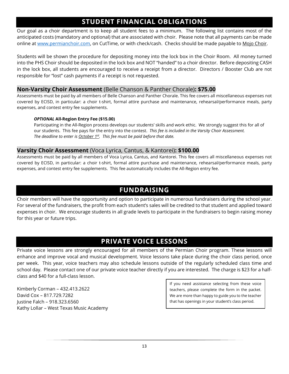# **STUDENT FINANCIAL OBLIGATIONS**

<span id="page-12-0"></span>Our goal as a choir department is to keep all student fees to a minimum. The following list contains most of the anticipated costs (mandatory and optional) that are associated with choir. Please note that all payments can be made online at [www.permianchoir.com,](http://www.permianchoir.com/) on CutTime, or with check/cash. Checks should be made payable to Mojo Choir.

Students will be shown the procedure for depositing money into the lock box in the Choir Room. All money turned into the PHS Choir should be deposited in the lock box and NOT "handed" to a choir director. Before depositing CASH in the lock box, all students are encouraged to receive a receipt from a director. Directors / Booster Club are not responsible for "lost" cash payments if a receipt is not requested.

#### **Non-Varsity Choir Assessment** (Belle Chanson & Panther Chorale)**: \$75.00**

Assessments must be paid by all members of Belle Chanson and Panther Chorale. This fee covers all miscellaneous expenses not covered by ECISD, in particular: a choir t-shirt, formal attire purchase and maintenance, rehearsal/performance meals, party expenses, and contest entry fee supplements.

#### *OPTIONAL* **All-Region Entry Fee (\$15.00)**

Participating in the All-Region process develops our students' skills and work ethic. We strongly suggest this for all of our students. This fee pays for the entry into the contest. *This fee is included in the Varsity Choir Assessment. The deadline to enter is October 1st. This fee must be paid before that date.*

#### **Varsity Choir Assessment** (Voca Lyrica, Cantus, & Kantorei)**: \$100.00**

Assessments must be paid by all members of Voca Lyrica, Cantus, and Kantorei. This fee covers all miscellaneous expenses not covered by ECISD, in particular: a choir t-shirt, formal attire purchase and maintenance, rehearsal/performance meals, party expenses, and contest entry fee supplements. This fee automatically includes the All-Region entry fee.

# **FUNDRAISING**

<span id="page-12-1"></span>Choir members will have the opportunity and option to participate in numerous fundraisers during the school year. For several of the fundraisers, the profit from each student's sales will be credited to that student and applied toward expenses in choir. We encourage students in all grade levels to participate in the fundraisers to begin raising money for this year or future trips.

# **PRIVATE VOICE LESSONS**

<span id="page-12-2"></span>Private voice lessons are strongly encouraged for all members of the Permian Choir program. These lessons will enhance and improve vocal and musical development. Voice lessons take place during the choir class period, once per week. This year, voice teachers may also schedule lessons outside of the regularly scheduled class time and school day. Please contact one of our private voice teacher directly if you are interested. The charge is \$23 for a halfclass and \$40 for a full-class lesson.

Kimberly Corman – 432.413.2622 David Cox – 817.729.7282 Justine Falch – 918.323.6560 Kathy Lollar – West Texas Music Academy If you need assistance selecting from these voice teachers, please complete the form in the packet. We are more than happy to guide you to the teacher that has openings in your student's class period.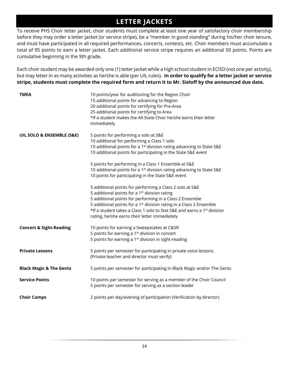# **LETTER JACKETS**

<span id="page-13-0"></span>To receive PHS Choir letter jacket, choir students must complete at least one year of satisfactory choir membership before they may order a letter jacket (or service stripe), be a "member in good standing" during his/her choir tenure, and must have participated in all required performances, concerts, contests, etc. Choir members must accumulate a total of 95 points to earn a letter jacket. Each additional service stripe requires an additional 50 points. Points are cumulative beginning in the 9th grade.

Each choir student may be awarded only one (1) letter jacket while a high school student in ECISD (not one per activity), but may letter in as many activities as he/she is able (per UIL rules). **In order to qualify for a letter jacket or service stripe, students must complete the required form and return it to Mr. Sieloff by the announced due date.**

| <b>TMEA</b>                        | 10 points/year for auditioning for the Region Choir<br>15 additional points for advancing to Region<br>20 additional points for certifying for Pre-Area<br>25 additional points for certifying to Area<br>*If a student makes the All-State Choir he/she earns their letter<br>immediately                                                                                                                   |
|------------------------------------|--------------------------------------------------------------------------------------------------------------------------------------------------------------------------------------------------------------------------------------------------------------------------------------------------------------------------------------------------------------------------------------------------------------|
| UIL SOLO & ENSEMBLE (S&E)          | 5 points for performing a solo at S&E<br>10 additional for performing a Class 1 solo<br>10 additional points for a 1 <sup>st</sup> division rating advancing to State S&E<br>10 additional points for participating in the State S&E event                                                                                                                                                                   |
|                                    | 5 points for performing in a Class 1 Ensemble at S&E<br>10 additional points for a 1 <sup>st</sup> division rating advancing to State S&E<br>10 points for participating in the State S&E event                                                                                                                                                                                                              |
|                                    | 5 additional points for performing a Class 2 solo at S&E<br>5 additional points for a 1 <sup>st</sup> division rating<br>5 additional points for performing in a Class 2 Ensemble<br>5 additional points for a 1 <sup>st</sup> division rating in a Class 2 Ensemble<br>*If a student takes a Class 1 solo to Stat S&E and earns a 1 <sup>st</sup> division<br>rating, he/she earns their letter immediately |
| <b>Concert &amp; Sight-Reading</b> | 10 points for earning a Sweepstakes at C&SR<br>5 points for earning a 1 <sup>st</sup> division in concert<br>5 points for earning a 1 <sup>st</sup> division in sight-reading                                                                                                                                                                                                                                |
| <b>Private Lessons</b>             | 5 points per semester for participating in private voice lessons.<br>(Private teacher and director must verify)                                                                                                                                                                                                                                                                                              |
| <b>Black Magic &amp; The Gents</b> | 5 points per semester for participating in Black Magic and/or The Gents                                                                                                                                                                                                                                                                                                                                      |
| <b>Service Points</b>              | 10 points per semester for serving as a member of the Choir Council<br>5 points per semester for serving as a section leader                                                                                                                                                                                                                                                                                 |
| <b>Choir Camps</b>                 | 2 points per day/evening of participation (Verification by director)                                                                                                                                                                                                                                                                                                                                         |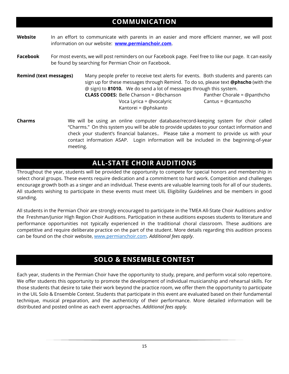# **COMMUNICATION**

- <span id="page-14-0"></span>**Website** In an effort to communicate with parents in an easier and more efficient manner, we will post information on our website: **[www.permianchoir.com](http://www.permianchoir.com/)**.
- **Facebook** For most events, we will post reminders on our Facebook page. Feel free to like our page. It can easily be found by searching for Permian Choir on Facebook.

**Remind (text messages)** Many people prefer to receive text alerts for events. Both students and parents can sign up for these messages through Remind. To do so, please text **@phscho** (with the @ sign) to **81010.** We do send a lot of messages through this system. **CLASS CODES:** Belle Chanson = @bchanson Panther Chorale = @panthcho Voca Lyrica = @vocalyric Cantus = @cantuscho Kantorei = @phskanto

**Charms** We will be using an online computer database/record-keeping system for choir called "Charms." On this system you will be able to provide updates to your contact information and check your student's financial balances.. Please take a moment to provide us with your contact information ASAP. Login information will be included in the beginning-of-year meeting.

# **ALL-STATE CHOIR AUDITIONS**

<span id="page-14-1"></span>Throughout the year, students will be provided the opportunity to compete for special honors and membership in select choral groups. These events require dedication and a commitment to hard work. Competition and challenges encourage growth both as a singer and an individual. These events are valuable learning tools for all of our students. All students wishing to participate in these events must meet UIL Eligibility Guidelines and be members in good standing.

All students in the Permian Choir are strongly encouraged to participate in the TMEA All-State Choir Auditions and/or the Freshman/Junior High Region Choir Auditions. Participation in these auditions exposes students to literature and performance opportunities not typically experienced in the traditional choral classroom. These auditions are competitive and require deliberate practice on the part of the student. More details regarding this audition process can be found on the choir website[, www.permianchoir.com.](http://www.permianchoir.com/) *Additional fees apply*.

# **SOLO & ENSEMBLE CONTEST**

<span id="page-14-2"></span>Each year, students in the Permian Choir have the opportunity to study, prepare, and perform vocal solo repertoire. We offer students this opportunity to promote the development of individual musicianship and rehearsal skills. For those students that desire to take their work beyond the practice room, we offer them the opportunity to participate in the UIL Solo & Ensemble Contest. Students that participate in this event are evaluated based on their fundamental technique, musical preparation, and the authenticity of their performance. More detailed information will be distributed and posted online as each event approaches. *Additional fees apply.*